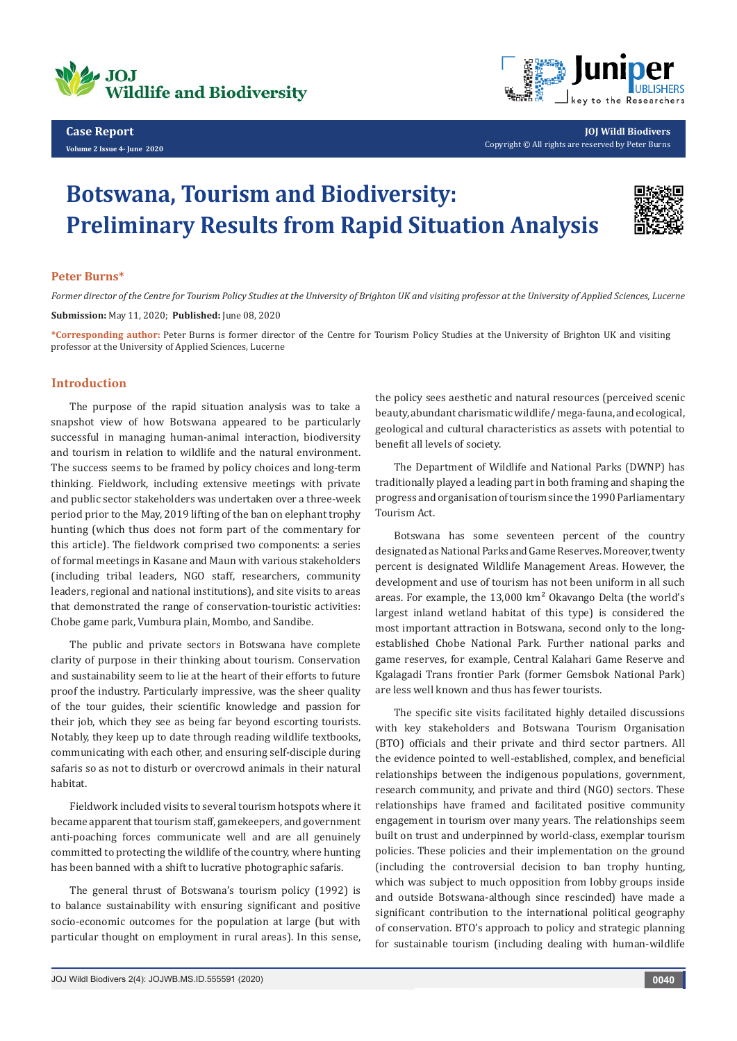



**JOJ Wildl Biodivers** Copyright © All rights are reserved by Peter Burns

## **Botswana, Tourism and Biodiversity: Preliminary Results from Rapid Situation Analysis**



## **Peter Burns\***

*Former director of the Centre for Tourism Policy Studies at the University of Brighton UK and visiting professor at the University of Applied Sciences, Lucerne* **Submission:** May 11, 2020; **Published:** June 08, 2020

**\*Corresponding author:** Peter Burns is former director of the Centre for Tourism Policy Studies at the University of Brighton UK and visiting professor at the University of Applied Sciences, Lucerne

## **Introduction**

The purpose of the rapid situation analysis was to take a snapshot view of how Botswana appeared to be particularly successful in managing human-animal interaction, biodiversity and tourism in relation to wildlife and the natural environment. The success seems to be framed by policy choices and long-term thinking. Fieldwork, including extensive meetings with private and public sector stakeholders was undertaken over a three-week period prior to the May, 2019 lifting of the ban on elephant trophy hunting (which thus does not form part of the commentary for this article). The fieldwork comprised two components: a series of formal meetings in Kasane and Maun with various stakeholders (including tribal leaders, NGO staff, researchers, community leaders, regional and national institutions), and site visits to areas that demonstrated the range of conservation-touristic activities: Chobe game park, Vumbura plain, Mombo, and Sandibe.

The public and private sectors in Botswana have complete clarity of purpose in their thinking about tourism. Conservation and sustainability seem to lie at the heart of their efforts to future proof the industry. Particularly impressive, was the sheer quality of the tour guides, their scientific knowledge and passion for their job, which they see as being far beyond escorting tourists. Notably, they keep up to date through reading wildlife textbooks, communicating with each other, and ensuring self-disciple during safaris so as not to disturb or overcrowd animals in their natural habitat.

Fieldwork included visits to several tourism hotspots where it became apparent that tourism staff, gamekeepers, and government anti-poaching forces communicate well and are all genuinely committed to protecting the wildlife of the country, where hunting has been banned with a shift to lucrative photographic safaris.

The general thrust of Botswana's tourism policy (1992) is to balance sustainability with ensuring significant and positive socio-economic outcomes for the population at large (but with particular thought on employment in rural areas). In this sense,

the policy sees aesthetic and natural resources (perceived scenic beauty, abundant charismatic wildlife/ mega-fauna, and ecological, geological and cultural characteristics as assets with potential to benefit all levels of society.

The Department of Wildlife and National Parks (DWNP) has traditionally played a leading part in both framing and shaping the progress and organisation of tourism since the 1990 Parliamentary Tourism Act.

Botswana has some seventeen percent of the country designated as National Parks and Game Reserves. Moreover, twenty percent is designated Wildlife Management Areas. However, the development and use of tourism has not been uniform in all such areas. For example, the 13,000 km² Okavango Delta (the world's largest inland wetland habitat of this type) is considered the most important attraction in Botswana, second only to the longestablished Chobe National Park. Further national parks and game reserves, for example, Central Kalahari Game Reserve and Kgalagadi Trans frontier Park (former Gemsbok National Park) are less well known and thus has fewer tourists.

The specific site visits facilitated highly detailed discussions with key stakeholders and Botswana Tourism Organisation (BTO) officials and their private and third sector partners. All the evidence pointed to well-established, complex, and beneficial relationships between the indigenous populations, government, research community, and private and third (NGO) sectors. These relationships have framed and facilitated positive community engagement in tourism over many years. The relationships seem built on trust and underpinned by world-class, exemplar tourism policies. These policies and their implementation on the ground (including the controversial decision to ban trophy hunting, which was subject to much opposition from lobby groups inside and outside Botswana-although since rescinded) have made a significant contribution to the international political geography of conservation. BTO's approach to policy and strategic planning for sustainable tourism (including dealing with human-wildlife